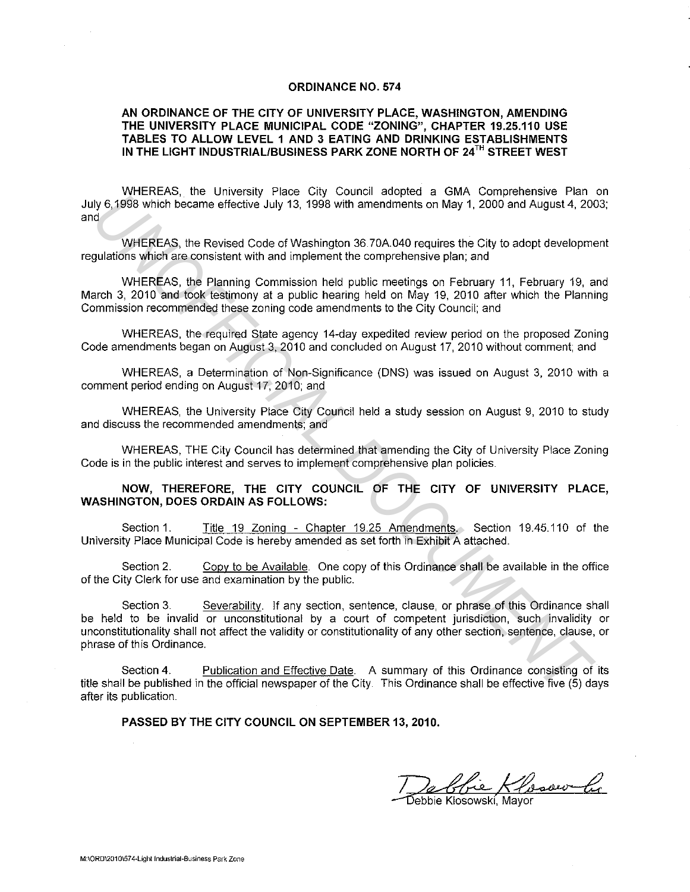#### **ORDINANCE NO. 574**

#### **AN ORDINANCE OF THE CITY OF UNIVERSITY PLACE, WASHINGTON, AMENDING THE UNIVERSITY PLACE MUNICIPAL CODE "ZONING", CHAPTER 19.25.110 USE TABLES TO ALLOW LEVEL 1 AND 3 EATING AND DRINKING ESTABLISHMENTS IN THE LIGHT INDUSTRIAL/BUSINESS PARK ZONE NORTH OF 24r" STREET WEST**

WHEREAS, the University Place City Council adopted a GMA Comprehensive Plan on July 6, 1998 which became effective July 13, 1998 with amendments on May **1,** 2000 and August 4, 2003; and

WHEREAS, the Revised Code of Washington 36.70A.040 requires the City to adopt development regulations which are consistent with and implement the comprehensive plan; and

WHEREAS, the Planning Commission held public meetings on February 11, February 19, and March 3, 2010 and took testimony at a public hearing held on May 19, 2010 after which the Planning Commission recommended these zoning code amendments to the City Council; and

WHEREAS, the required State agency 14-day expedited review period on the proposed Zoning Code amendments began on August 3, 2010 and concluded on August 17, 2010 without comment; and

WHEREAS, a Determination of Non-Significance (DNS) was issued on August 3, 2010 with a comment period ending on August 17, 2010; and

WHEREAS, the University Place City Council held a study session on August 9, 2010 to study and discuss the recommended amendments; and

WHEREAS, THE City Council has determined that amending the City of University Place Zoning Code is in the public interest and serves to implement comprehensive plan policies.

### **NOW, THEREFORE, THE CITY COUNCIL OF THE CITY OF UNIVERSITY PLACE, WASHINGTON, DOES ORDAIN AS FOLLOWS:**

Section 1. Title 19 Zoning - Chapter 19.25 Amendments. Section 19.45.110 of the University Place Municipal Code is hereby amended as set forth in Exhibit A attached.

Section 2. Copy to be Available. One copy of this Ordinance shall be available in the office of the City Clerk for use and examination by the public.

Section 3. Severability. If any section, sentence, clause, or phrase of this Ordinance shall be held to be invalid or unconstitutional by a court of competent jurisdiction, such invalidity or unconstitutionality shall not affect the validity or constitutionality of any other section, sentence, clause, or phrase of this Ordinance. **IV** 6,1998 Which became effective July 13, 1998 Which annotheasure Train<br>
WHEREAS, the Greeked Code of Weshington 36.70A 040 roquines the City to adopt development<br>
WHEREAS, the Revised Code of Weshington 36.70A 040 roqui

Section 4. Publication and Effective Date. A summary of this Ordinance consisting of its title shall be published in the official newspaper of the City. This Ordinance shall be effective five (5) days after its publication.

**PASSED BY THE CITY COUNCIL ON SEPTEMBER 13, 2010.** 

De blie Klosour le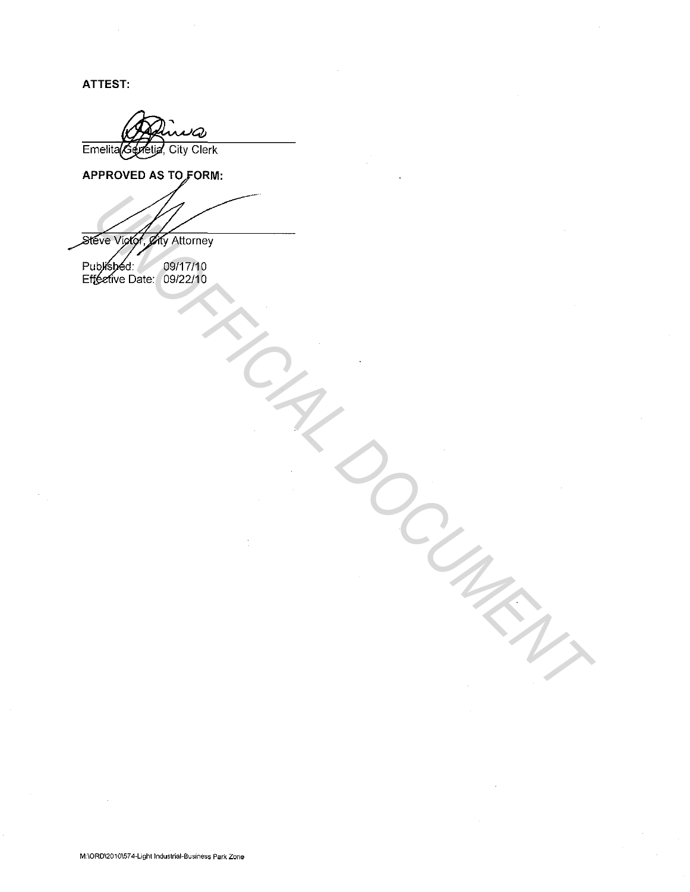**ATTEST:** 

Emelita Gevetia, City Clerk

APPROVED AS TO FORM:

Every of the Nummer<br>
University of Nummer<br>
University<br>
University<br>
University<br>
University

09/17/10 09/22/10